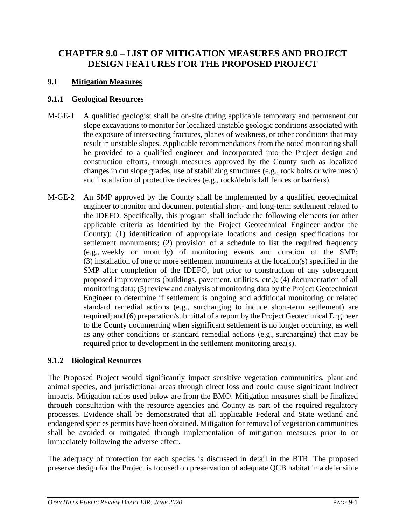# **CHAPTER 9.0 – LIST OF MITIGATION MEASURES AND PROJECT DESIGN FEATURES FOR THE PROPOSED PROJECT**

## **9.1 Mitigation Measures**

#### **9.1.1 Geological Resources**

- M-GE-1 A qualified geologist shall be on-site during applicable temporary and permanent cut slope excavations to monitor for localized unstable geologic conditions associated with the exposure of intersecting fractures, planes of weakness, or other conditions that may result in unstable slopes. Applicable recommendations from the noted monitoring shall be provided to a qualified engineer and incorporated into the Project design and construction efforts, through measures approved by the County such as localized changes in cut slope grades, use of stabilizing structures (e.g., rock bolts or wire mesh) and installation of protective devices (e.g., rock/debris fall fences or barriers).
- M-GE-2 An SMP approved by the County shall be implemented by a qualified geotechnical engineer to monitor and document potential short- and long-term settlement related to the IDEFO. Specifically, this program shall include the following elements (or other applicable criteria as identified by the Project Geotechnical Engineer and/or the County): (1) identification of appropriate locations and design specifications for settlement monuments; (2) provision of a schedule to list the required frequency (e.g., weekly or monthly) of monitoring events and duration of the SMP; (3) installation of one or more settlement monuments at the location(s) specified in the SMP after completion of the IDEFO, but prior to construction of any subsequent proposed improvements (buildings, pavement, utilities, etc.); (4) documentation of all monitoring data; (5) review and analysis of monitoring data by the Project Geotechnical Engineer to determine if settlement is ongoing and additional monitoring or related standard remedial actions (e.g., surcharging to induce short-term settlement) are required; and (6) preparation/submittal of a report by the Project Geotechnical Engineer to the County documenting when significant settlement is no longer occurring, as well as any other conditions or standard remedial actions (e.g., surcharging) that may be required prior to development in the settlement monitoring area(s).

#### **9.1.2 Biological Resources**

The Proposed Project would significantly impact sensitive vegetation communities, plant and animal species, and jurisdictional areas through direct loss and could cause significant indirect impacts. Mitigation ratios used below are from the BMO. Mitigation measures shall be finalized through consultation with the resource agencies and County as part of the required regulatory processes. Evidence shall be demonstrated that all applicable Federal and State wetland and endangered species permits have been obtained. Mitigation for removal of vegetation communities shall be avoided or mitigated through implementation of mitigation measures prior to or immediately following the adverse effect.

The adequacy of protection for each species is discussed in detail in the BTR. The proposed preserve design for the Project is focused on preservation of adequate QCB habitat in a defensible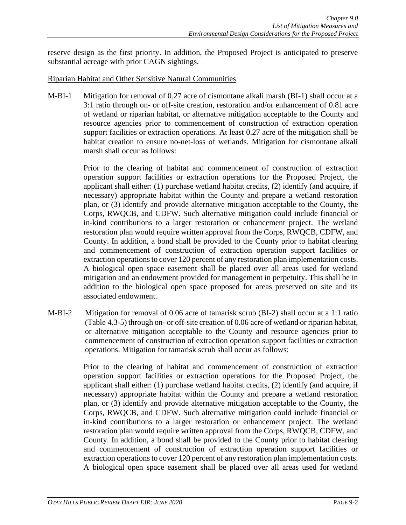reserve design as the first priority. In addition, the Proposed Project is anticipated to preserve substantial acreage with prior CAGN sightings.

#### Riparian Habitat and Other Sensitive Natural Communities

M-BI-1 Mitigation for removal of 0.27 acre of cismontane alkali marsh (BI-1) shall occur at a 3:1 ratio through on- or off-site creation, restoration and/or enhancement of 0.81 acre of wetland or riparian habitat, or alternative mitigation acceptable to the County and resource agencies prior to commencement of construction of extraction operation support facilities or extraction operations. At least 0.27 acre of the mitigation shall be habitat creation to ensure no-net-loss of wetlands. Mitigation for cismontane alkali marsh shall occur as follows:

> Prior to the clearing of habitat and commencement of construction of extraction operation support facilities or extraction operations for the Proposed Project, the applicant shall either: (1) purchase wetland habitat credits, (2) identify (and acquire, if necessary) appropriate habitat within the County and prepare a wetland restoration plan, or (3) identify and provide alternative mitigation acceptable to the County, the Corps, RWQCB, and CDFW. Such alternative mitigation could include financial or in-kind contributions to a larger restoration or enhancement project. The wetland restoration plan would require written approval from the Corps, RWQCB, CDFW, and County. In addition, a bond shall be provided to the County prior to habitat clearing and commencement of construction of extraction operation support facilities or extraction operations to cover 120 percent of any restoration plan implementation costs. A biological open space easement shall be placed over all areas used for wetland mitigation and an endowment provided for management in perpetuity. This shall be in addition to the biological open space proposed for areas preserved on site and its associated endowment.

M-BI-2 Mitigation for removal of 0.06 acre of tamarisk scrub (BI-2) shall occur at a 1:1 ratio (Table 4.3-5) through on- or off-site creation of 0.06 acre of wetland or riparian habitat, or alternative mitigation acceptable to the County and resource agencies prior to commencement of construction of extraction operation support facilities or extraction operations. Mitigation for tamarisk scrub shall occur as follows:

> Prior to the clearing of habitat and commencement of construction of extraction operation support facilities or extraction operations for the Proposed Project, the applicant shall either: (1) purchase wetland habitat credits, (2) identify (and acquire, if necessary) appropriate habitat within the County and prepare a wetland restoration plan, or (3) identify and provide alternative mitigation acceptable to the County, the Corps, RWQCB, and CDFW. Such alternative mitigation could include financial or in-kind contributions to a larger restoration or enhancement project. The wetland restoration plan would require written approval from the Corps, RWQCB, CDFW, and County. In addition, a bond shall be provided to the County prior to habitat clearing and commencement of construction of extraction operation support facilities or extraction operations to cover 120 percent of any restoration plan implementation costs. A biological open space easement shall be placed over all areas used for wetland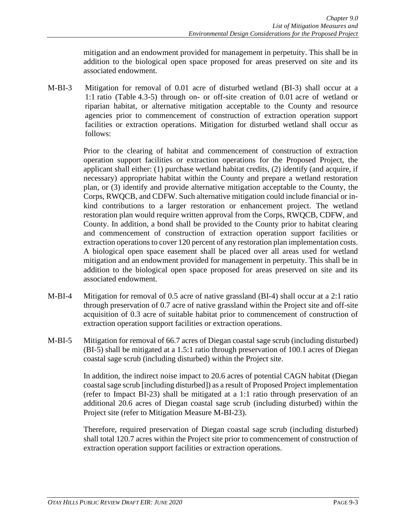mitigation and an endowment provided for management in perpetuity. This shall be in addition to the biological open space proposed for areas preserved on site and its associated endowment.

M-BI-3 Mitigation for removal of 0.01 acre of disturbed wetland (BI-3) shall occur at a 1:1 ratio (Table 4.3-5) through on- or off-site creation of 0.01 acre of wetland or riparian habitat, or alternative mitigation acceptable to the County and resource agencies prior to commencement of construction of extraction operation support facilities or extraction operations. Mitigation for disturbed wetland shall occur as follows:

> Prior to the clearing of habitat and commencement of construction of extraction operation support facilities or extraction operations for the Proposed Project, the applicant shall either: (1) purchase wetland habitat credits, (2) identify (and acquire, if necessary) appropriate habitat within the County and prepare a wetland restoration plan, or (3) identify and provide alternative mitigation acceptable to the County, the Corps, RWQCB, and CDFW. Such alternative mitigation could include financial or inkind contributions to a larger restoration or enhancement project. The wetland restoration plan would require written approval from the Corps, RWQCB, CDFW, and County. In addition, a bond shall be provided to the County prior to habitat clearing and commencement of construction of extraction operation support facilities or extraction operations to cover 120 percent of any restoration plan implementation costs. A biological open space easement shall be placed over all areas used for wetland mitigation and an endowment provided for management in perpetuity. This shall be in addition to the biological open space proposed for areas preserved on site and its associated endowment.

- M-BI-4 Mitigation for removal of 0.5 acre of native grassland (BI-4) shall occur at a 2:1 ratio through preservation of 0.7 acre of native grassland within the Project site and off-site acquisition of 0.3 acre of suitable habitat prior to commencement of construction of extraction operation support facilities or extraction operations.
- M-BI-5 Mitigation for removal of 66.7 acres of Diegan coastal sage scrub (including disturbed) (BI-5) shall be mitigated at a 1.5:1 ratio through preservation of 100.1 acres of Diegan coastal sage scrub (including disturbed) within the Project site.

In addition, the indirect noise impact to 20.6 acres of potential CAGN habitat (Diegan coastal sage scrub [including disturbed]) as a result of Proposed Project implementation (refer to Impact BI-23) shall be mitigated at a 1:1 ratio through preservation of an additional 20.6 acres of Diegan coastal sage scrub (including disturbed) within the Project site (refer to Mitigation Measure M-BI-23).

Therefore, required preservation of Diegan coastal sage scrub (including disturbed) shall total 120.7 acres within the Project site prior to commencement of construction of extraction operation support facilities or extraction operations.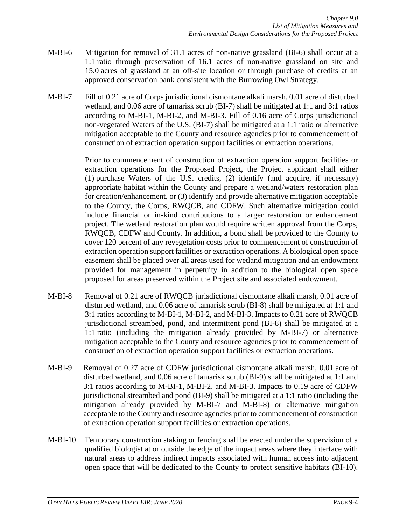- M-BI-6 Mitigation for removal of 31.1 acres of non-native grassland (BI-6) shall occur at a 1:1 ratio through preservation of 16.1 acres of non-native grassland on site and 15.0 acres of grassland at an off-site location or through purchase of credits at an approved conservation bank consistent with the Burrowing Owl Strategy.
- M-BI-7 Fill of 0.21 acre of Corps jurisdictional cismontane alkali marsh, 0.01 acre of disturbed wetland, and 0.06 acre of tamarisk scrub (BI-7) shall be mitigated at 1:1 and 3:1 ratios according to M-BI-1, M-BI-2, and M-BI-3. Fill of 0.16 acre of Corps jurisdictional non-vegetated Waters of the U.S. (BI-7) shall be mitigated at a 1:1 ratio or alternative mitigation acceptable to the County and resource agencies prior to commencement of construction of extraction operation support facilities or extraction operations.

Prior to commencement of construction of extraction operation support facilities or extraction operations for the Proposed Project, the Project applicant shall either (1) purchase Waters of the U.S. credits, (2) identify (and acquire, if necessary) appropriate habitat within the County and prepare a wetland/waters restoration plan for creation/enhancement, or (3) identify and provide alternative mitigation acceptable to the County, the Corps, RWQCB, and CDFW. Such alternative mitigation could include financial or in-kind contributions to a larger restoration or enhancement project. The wetland restoration plan would require written approval from the Corps, RWQCB, CDFW and County. In addition, a bond shall be provided to the County to cover 120 percent of any revegetation costs prior to commencement of construction of extraction operation support facilities or extraction operations. A biological open space easement shall be placed over all areas used for wetland mitigation and an endowment provided for management in perpetuity in addition to the biological open space proposed for areas preserved within the Project site and associated endowment.

- M-BI-8 Removal of 0.21 acre of RWQCB jurisdictional cismontane alkali marsh, 0.01 acre of disturbed wetland, and 0.06 acre of tamarisk scrub (BI-8) shall be mitigated at 1:1 and 3:1 ratios according to M-BI-1, M-BI-2, and M-BI-3. Impacts to 0.21 acre of RWQCB jurisdictional streambed, pond, and intermittent pond (BI-8) shall be mitigated at a 1:1 ratio (including the mitigation already provided by M-BI-7) or alternative mitigation acceptable to the County and resource agencies prior to commencement of construction of extraction operation support facilities or extraction operations.
- M-BI-9 Removal of 0.27 acre of CDFW jurisdictional cismontane alkali marsh, 0.01 acre of disturbed wetland, and 0.06 acre of tamarisk scrub (BI-9) shall be mitigated at 1:1 and 3:1 ratios according to M-BI-1, M-BI-2, and M-BI-3. Impacts to 0.19 acre of CDFW jurisdictional streambed and pond (BI-9) shall be mitigated at a 1:1 ratio (including the mitigation already provided by M-BI-7 and M-BI-8) or alternative mitigation acceptable to the County and resource agencies prior to commencement of construction of extraction operation support facilities or extraction operations.
- M-BI-10 Temporary construction staking or fencing shall be erected under the supervision of a qualified biologist at or outside the edge of the impact areas where they interface with natural areas to address indirect impacts associated with human access into adjacent open space that will be dedicated to the County to protect sensitive habitats (BI-10).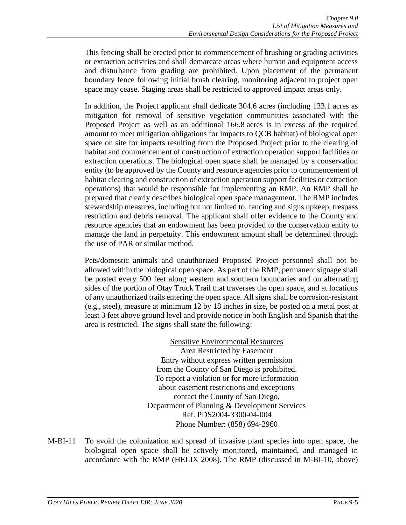This fencing shall be erected prior to commencement of brushing or grading activities or extraction activities and shall demarcate areas where human and equipment access and disturbance from grading are prohibited. Upon placement of the permanent boundary fence following initial brush clearing, monitoring adjacent to project open space may cease. Staging areas shall be restricted to approved impact areas only.

In addition, the Project applicant shall dedicate 304.6 acres (including 133.1 acres as mitigation for removal of sensitive vegetation communities associated with the Proposed Project as well as an additional 166.8 acres is in excess of the required amount to meet mitigation obligations for impacts to QCB habitat) of biological open space on site for impacts resulting from the Proposed Project prior to the clearing of habitat and commencement of construction of extraction operation support facilities or extraction operations. The biological open space shall be managed by a conservation entity (to be approved by the County and resource agencies prior to commencement of habitat clearing and construction of extraction operation support facilities or extraction operations) that would be responsible for implementing an RMP. An RMP shall be prepared that clearly describes biological open space management. The RMP includes stewardship measures, including but not limited to, fencing and signs upkeep, trespass restriction and debris removal. The applicant shall offer evidence to the County and resource agencies that an endowment has been provided to the conservation entity to manage the land in perpetuity. This endowment amount shall be determined through the use of PAR or similar method.

Pets/domestic animals and unauthorized Proposed Project personnel shall not be allowed within the biological open space. As part of the RMP, permanent signage shall be posted every 500 feet along western and southern boundaries and on alternating sides of the portion of Otay Truck Trail that traverses the open space, and at locations of any unauthorized trails entering the open space. All signs shall be corrosion-resistant (e.g., steel), measure at minimum 12 by 18 inches in size, be posted on a metal post at least 3 feet above ground level and provide notice in both English and Spanish that the area is restricted. The signs shall state the following:

> Sensitive Environmental Resources Area Restricted by Easement Entry without express written permission from the County of San Diego is prohibited. To report a violation or for more information about easement restrictions and exceptions contact the County of San Diego, Department of Planning & Development Services Ref. PDS2004-3300-04-004 Phone Number: (858) 694-2960

M-BI-11 To avoid the colonization and spread of invasive plant species into open space, the biological open space shall be actively monitored, maintained, and managed in accordance with the RMP (HELIX 2008). The RMP (discussed in M-BI-10, above)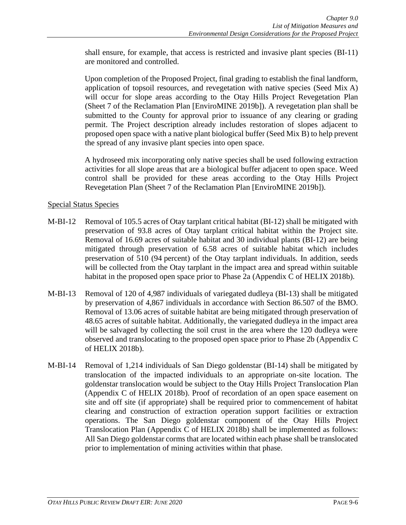shall ensure, for example, that access is restricted and invasive plant species (BI-11) are monitored and controlled.

Upon completion of the Proposed Project, final grading to establish the final landform, application of topsoil resources, and revegetation with native species (Seed Mix A) will occur for slope areas according to the Otay Hills Project Revegetation Plan (Sheet 7 of the Reclamation Plan [EnviroMINE 2019b]). A revegetation plan shall be submitted to the County for approval prior to issuance of any clearing or grading permit. The Project description already includes restoration of slopes adjacent to proposed open space with a native plant biological buffer (Seed Mix B) to help prevent the spread of any invasive plant species into open space.

A hydroseed mix incorporating only native species shall be used following extraction activities for all slope areas that are a biological buffer adjacent to open space. Weed control shall be provided for these areas according to the Otay Hills Project Revegetation Plan (Sheet 7 of the Reclamation Plan [EnviroMINE 2019b]).

#### Special Status Species

- M-BI-12 Removal of 105.5 acres of Otay tarplant critical habitat (BI-12) shall be mitigated with preservation of 93.8 acres of Otay tarplant critical habitat within the Project site. Removal of 16.69 acres of suitable habitat and 30 individual plants (BI-12) are being mitigated through preservation of 6.58 acres of suitable habitat which includes preservation of 510 (94 percent) of the Otay tarplant individuals. In addition, seeds will be collected from the Otay tarplant in the impact area and spread within suitable habitat in the proposed open space prior to Phase 2a (Appendix C of HELIX 2018b).
- M-BI-13 Removal of 120 of 4,987 individuals of variegated dudleya (BI-13) shall be mitigated by preservation of 4,867 individuals in accordance with Section 86.507 of the BMO. Removal of 13.06 acres of suitable habitat are being mitigated through preservation of 48.65 acres of suitable habitat. Additionally, the variegated dudleya in the impact area will be salvaged by collecting the soil crust in the area where the 120 dudleya were observed and translocating to the proposed open space prior to Phase 2b (Appendix C of HELIX 2018b).
- M-BI-14 Removal of 1,214 individuals of San Diego goldenstar (BI-14) shall be mitigated by translocation of the impacted individuals to an appropriate on-site location. The goldenstar translocation would be subject to the Otay Hills Project Translocation Plan (Appendix C of HELIX 2018b). Proof of recordation of an open space easement on site and off site (if appropriate) shall be required prior to commencement of habitat clearing and construction of extraction operation support facilities or extraction operations. The San Diego goldenstar component of the Otay Hills Project Translocation Plan (Appendix C of HELIX 2018b) shall be implemented as follows: All San Diego goldenstar corms that are located within each phase shall be translocated prior to implementation of mining activities within that phase.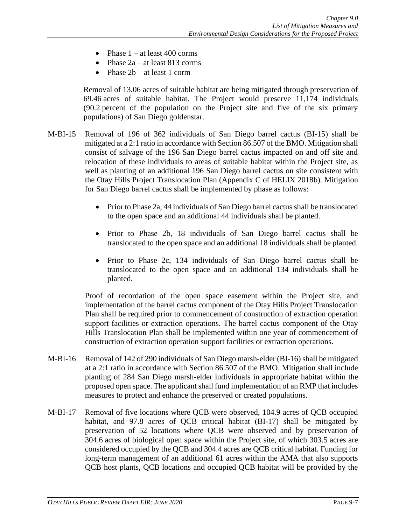- Phase  $1 at least 400 \text{ terms}$
- Phase  $2a at least 813 \text{ terms}$
- Phase  $2b at least 1$  corm

Removal of 13.06 acres of suitable habitat are being mitigated through preservation of 69.46 acres of suitable habitat. The Project would preserve 11,174 individuals (90.2 percent of the population on the Project site and five of the six primary populations) of San Diego goldenstar.

- M-BI-15 Removal of 196 of 362 individuals of San Diego barrel cactus (BI-15) shall be mitigated at a 2:1 ratio in accordance with Section 86.507 of the BMO. Mitigation shall consist of salvage of the 196 San Diego barrel cactus impacted on and off site and relocation of these individuals to areas of suitable habitat within the Project site, as well as planting of an additional 196 San Diego barrel cactus on site consistent with the Otay Hills Project Translocation Plan (Appendix C of HELIX 2018b). Mitigation for San Diego barrel cactus shall be implemented by phase as follows:
	- Prior to Phase 2a, 44 individuals of San Diego barrel cactus shall be translocated to the open space and an additional 44 individuals shall be planted.
	- Prior to Phase 2b, 18 individuals of San Diego barrel cactus shall be translocated to the open space and an additional 18 individuals shall be planted.
	- Prior to Phase 2c, 134 individuals of San Diego barrel cactus shall be translocated to the open space and an additional 134 individuals shall be planted.

Proof of recordation of the open space easement within the Project site, and implementation of the barrel cactus component of the Otay Hills Project Translocation Plan shall be required prior to commencement of construction of extraction operation support facilities or extraction operations. The barrel cactus component of the Otay Hills Translocation Plan shall be implemented within one year of commencement of construction of extraction operation support facilities or extraction operations.

- M-BI-16 Removal of 142 of 290 individuals of San Diego marsh-elder (BI-16) shall be mitigated at a 2:1 ratio in accordance with Section 86.507 of the BMO. Mitigation shall include planting of 284 San Diego marsh-elder individuals in appropriate habitat within the proposed open space. The applicant shall fund implementation of an RMP that includes measures to protect and enhance the preserved or created populations.
- M-BI-17 Removal of five locations where QCB were observed, 104.9 acres of QCB occupied habitat, and 97.8 acres of QCB critical habitat (BI-17) shall be mitigated by preservation of 52 locations where QCB were observed and by preservation of 304.6 acres of biological open space within the Project site, of which 303.5 acres are considered occupied by the QCB and 304.4 acres are QCB critical habitat. Funding for long-term management of an additional 61 acres within the AMA that also supports QCB host plants, QCB locations and occupied QCB habitat will be provided by the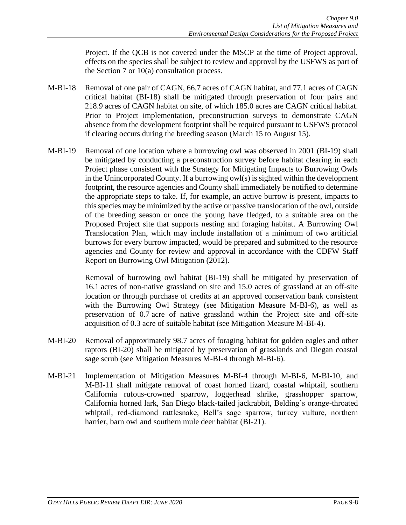Project. If the QCB is not covered under the MSCP at the time of Project approval, effects on the species shall be subject to review and approval by the USFWS as part of the Section 7 or 10(a) consultation process.

- M-BI-18 Removal of one pair of CAGN, 66.7 acres of CAGN habitat, and 77.1 acres of CAGN critical habitat (BI-18) shall be mitigated through preservation of four pairs and 218.9 acres of CAGN habitat on site, of which 185.0 acres are CAGN critical habitat. Prior to Project implementation, preconstruction surveys to demonstrate CAGN absence from the development footprint shall be required pursuant to USFWS protocol if clearing occurs during the breeding season (March 15 to August 15).
- M-BI-19 Removal of one location where a burrowing owl was observed in 2001 (BI-19) shall be mitigated by conducting a preconstruction survey before habitat clearing in each Project phase consistent with the Strategy for Mitigating Impacts to Burrowing Owls in the Unincorporated County. If a burrowing owl(s) is sighted within the development footprint, the resource agencies and County shall immediately be notified to determine the appropriate steps to take. If, for example, an active burrow is present, impacts to this species may be minimized by the active or passive translocation of the owl, outside of the breeding season or once the young have fledged, to a suitable area on the Proposed Project site that supports nesting and foraging habitat. A Burrowing Owl Translocation Plan, which may include installation of a minimum of two artificial burrows for every burrow impacted, would be prepared and submitted to the resource agencies and County for review and approval in accordance with the CDFW Staff Report on Burrowing Owl Mitigation (2012).

Removal of burrowing owl habitat (BI-19) shall be mitigated by preservation of 16.1 acres of non-native grassland on site and 15.0 acres of grassland at an off-site location or through purchase of credits at an approved conservation bank consistent with the Burrowing Owl Strategy (see Mitigation Measure M-BI-6), as well as preservation of 0.7 acre of native grassland within the Project site and off-site acquisition of 0.3 acre of suitable habitat (see Mitigation Measure M-BI-4).

- M-BI-20 Removal of approximately 98.7 acres of foraging habitat for golden eagles and other raptors (BI-20) shall be mitigated by preservation of grasslands and Diegan coastal sage scrub (see Mitigation Measures M-BI-4 through M-BI-6).
- M-BI-21 Implementation of Mitigation Measures M-BI-4 through M-BI-6, M-BI-10, and M-BI-11 shall mitigate removal of coast horned lizard, coastal whiptail, southern California rufous-crowned sparrow, loggerhead shrike, grasshopper sparrow, California horned lark, San Diego black-tailed jackrabbit, Belding's orange-throated whiptail, red-diamond rattlesnake, Bell's sage sparrow, turkey vulture, northern harrier, barn owl and southern mule deer habitat (BI-21).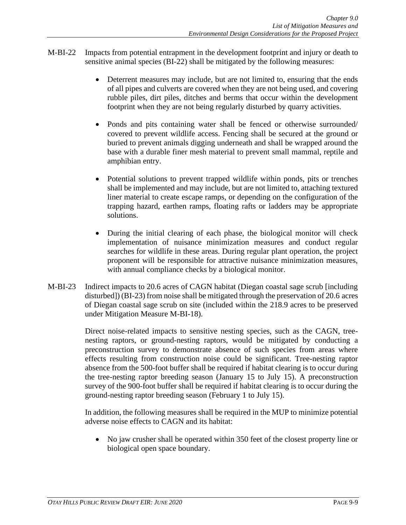- M-BI-22 Impacts from potential entrapment in the development footprint and injury or death to sensitive animal species (BI-22) shall be mitigated by the following measures:
	- Deterrent measures may include, but are not limited to, ensuring that the ends of all pipes and culverts are covered when they are not being used, and covering rubble piles, dirt piles, ditches and berms that occur within the development footprint when they are not being regularly disturbed by quarry activities.
	- Ponds and pits containing water shall be fenced or otherwise surrounded/ covered to prevent wildlife access. Fencing shall be secured at the ground or buried to prevent animals digging underneath and shall be wrapped around the base with a durable finer mesh material to prevent small mammal, reptile and amphibian entry.
	- Potential solutions to prevent trapped wildlife within ponds, pits or trenches shall be implemented and may include, but are not limited to, attaching textured liner material to create escape ramps, or depending on the configuration of the trapping hazard, earthen ramps, floating rafts or ladders may be appropriate solutions.
	- During the initial clearing of each phase, the biological monitor will check implementation of nuisance minimization measures and conduct regular searches for wildlife in these areas. During regular plant operation, the project proponent will be responsible for attractive nuisance minimization measures, with annual compliance checks by a biological monitor.
- M-BI-23 Indirect impacts to 20.6 acres of CAGN habitat (Diegan coastal sage scrub [including disturbed]) (BI-23) from noise shall be mitigated through the preservation of 20.6 acres of Diegan coastal sage scrub on site (included within the 218.9 acres to be preserved under Mitigation Measure M-BI-18).

Direct noise-related impacts to sensitive nesting species, such as the CAGN, treenesting raptors, or ground-nesting raptors, would be mitigated by conducting a preconstruction survey to demonstrate absence of such species from areas where effects resulting from construction noise could be significant. Tree-nesting raptor absence from the 500-foot buffer shall be required if habitat clearing is to occur during the tree-nesting raptor breeding season (January 15 to July 15). A preconstruction survey of the 900-foot buffer shall be required if habitat clearing is to occur during the ground-nesting raptor breeding season (February 1 to July 15).

In addition, the following measures shall be required in the MUP to minimize potential adverse noise effects to CAGN and its habitat:

• No jaw crusher shall be operated within 350 feet of the closest property line or biological open space boundary.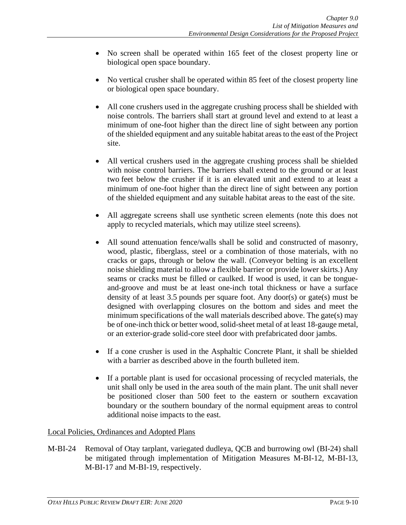- No screen shall be operated within 165 feet of the closest property line or biological open space boundary.
- No vertical crusher shall be operated within 85 feet of the closest property line or biological open space boundary.
- All cone crushers used in the aggregate crushing process shall be shielded with noise controls. The barriers shall start at ground level and extend to at least a minimum of one-foot higher than the direct line of sight between any portion of the shielded equipment and any suitable habitat areas to the east of the Project site.
- All vertical crushers used in the aggregate crushing process shall be shielded with noise control barriers. The barriers shall extend to the ground or at least two feet below the crusher if it is an elevated unit and extend to at least a minimum of one-foot higher than the direct line of sight between any portion of the shielded equipment and any suitable habitat areas to the east of the site.
- All aggregate screens shall use synthetic screen elements (note this does not apply to recycled materials, which may utilize steel screens).
- All sound attenuation fence/walls shall be solid and constructed of masonry, wood, plastic, fiberglass, steel or a combination of those materials, with no cracks or gaps, through or below the wall. (Conveyor belting is an excellent noise shielding material to allow a flexible barrier or provide lower skirts.) Any seams or cracks must be filled or caulked. If wood is used, it can be tongueand-groove and must be at least one-inch total thickness or have a surface density of at least 3.5 pounds per square foot. Any door(s) or gate(s) must be designed with overlapping closures on the bottom and sides and meet the minimum specifications of the wall materials described above. The gate(s) may be of one-inch thick or better wood, solid-sheet metal of at least 18-gauge metal, or an exterior-grade solid-core steel door with prefabricated door jambs.
- If a cone crusher is used in the Asphaltic Concrete Plant, it shall be shielded with a barrier as described above in the fourth bulleted item.
- If a portable plant is used for occasional processing of recycled materials, the unit shall only be used in the area south of the main plant. The unit shall never be positioned closer than 500 feet to the eastern or southern excavation boundary or the southern boundary of the normal equipment areas to control additional noise impacts to the east.

#### Local Policies, Ordinances and Adopted Plans

M-BI-24 Removal of Otay tarplant, variegated dudleya, QCB and burrowing owl (BI-24) shall be mitigated through implementation of Mitigation Measures M-BI-12, M-BI-13, M-BI-17 and M-BI-19, respectively.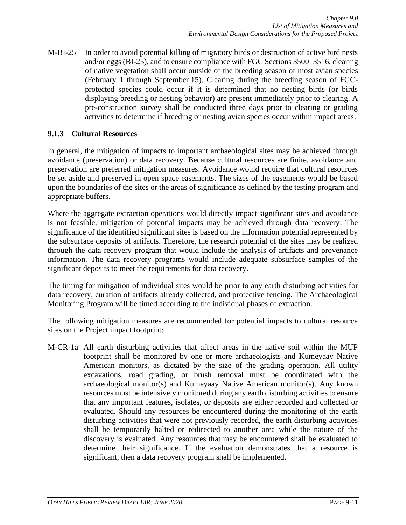M-BI-25 In order to avoid potential killing of migratory birds or destruction of active bird nests and/or eggs (BI-25), and to ensure compliance with FGC Sections 3500–3516, clearing of native vegetation shall occur outside of the breeding season of most avian species (February 1 through September 15). Clearing during the breeding season of FGCprotected species could occur if it is determined that no nesting birds (or birds displaying breeding or nesting behavior) are present immediately prior to clearing. A pre-construction survey shall be conducted three days prior to clearing or grading activities to determine if breeding or nesting avian species occur within impact areas.

#### **9.1.3 Cultural Resources**

In general, the mitigation of impacts to important archaeological sites may be achieved through avoidance (preservation) or data recovery. Because cultural resources are finite, avoidance and preservation are preferred mitigation measures. Avoidance would require that cultural resources be set aside and preserved in open space easements. The sizes of the easements would be based upon the boundaries of the sites or the areas of significance as defined by the testing program and appropriate buffers.

Where the aggregate extraction operations would directly impact significant sites and avoidance is not feasible, mitigation of potential impacts may be achieved through data recovery. The significance of the identified significant sites is based on the information potential represented by the subsurface deposits of artifacts. Therefore, the research potential of the sites may be realized through the data recovery program that would include the analysis of artifacts and provenance information. The data recovery programs would include adequate subsurface samples of the significant deposits to meet the requirements for data recovery.

The timing for mitigation of individual sites would be prior to any earth disturbing activities for data recovery, curation of artifacts already collected, and protective fencing. The Archaeological Monitoring Program will be timed according to the individual phases of extraction.

The following mitigation measures are recommended for potential impacts to cultural resource sites on the Project impact footprint:

M-CR-1a All earth disturbing activities that affect areas in the native soil within the MUP footprint shall be monitored by one or more archaeologists and Kumeyaay Native American monitors, as dictated by the size of the grading operation. All utility excavations, road grading, or brush removal must be coordinated with the archaeological monitor(s) and Kumeyaay Native American monitor(s). Any known resources must be intensively monitored during any earth disturbing activities to ensure that any important features, isolates, or deposits are either recorded and collected or evaluated. Should any resources be encountered during the monitoring of the earth disturbing activities that were not previously recorded, the earth disturbing activities shall be temporarily halted or redirected to another area while the nature of the discovery is evaluated. Any resources that may be encountered shall be evaluated to determine their significance. If the evaluation demonstrates that a resource is significant, then a data recovery program shall be implemented.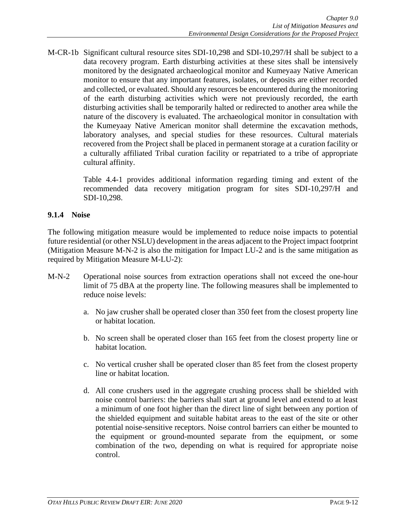M-CR-1b Significant cultural resource sites SDI-10,298 and SDI-10,297/H shall be subject to a data recovery program. Earth disturbing activities at these sites shall be intensively monitored by the designated archaeological monitor and Kumeyaay Native American monitor to ensure that any important features, isolates, or deposits are either recorded and collected, or evaluated. Should any resources be encountered during the monitoring of the earth disturbing activities which were not previously recorded, the earth disturbing activities shall be temporarily halted or redirected to another area while the nature of the discovery is evaluated. The archaeological monitor in consultation with the Kumeyaay Native American monitor shall determine the excavation methods, laboratory analyses, and special studies for these resources. Cultural materials recovered from the Project shall be placed in permanent storage at a curation facility or a culturally affiliated Tribal curation facility or repatriated to a tribe of appropriate cultural affinity.

> Table 4.4-1 provides additional information regarding timing and extent of the recommended data recovery mitigation program for sites SDI-10,297/H and SDI-10,298.

## **9.1.4 Noise**

The following mitigation measure would be implemented to reduce noise impacts to potential future residential (or other NSLU) development in the areas adjacent to the Project impact footprint (Mitigation Measure M-N-2 is also the mitigation for Impact LU-2 and is the same mitigation as required by Mitigation Measure M-LU-2):

- M-N-2 Operational noise sources from extraction operations shall not exceed the one-hour limit of 75 dBA at the property line. The following measures shall be implemented to reduce noise levels:
	- a. No jaw crusher shall be operated closer than 350 feet from the closest property line or habitat location.
	- b. No screen shall be operated closer than 165 feet from the closest property line or habitat location.
	- c. No vertical crusher shall be operated closer than 85 feet from the closest property line or habitat location.
	- d. All cone crushers used in the aggregate crushing process shall be shielded with noise control barriers: the barriers shall start at ground level and extend to at least a minimum of one foot higher than the direct line of sight between any portion of the shielded equipment and suitable habitat areas to the east of the site or other potential noise-sensitive receptors. Noise control barriers can either be mounted to the equipment or ground-mounted separate from the equipment, or some combination of the two, depending on what is required for appropriate noise control.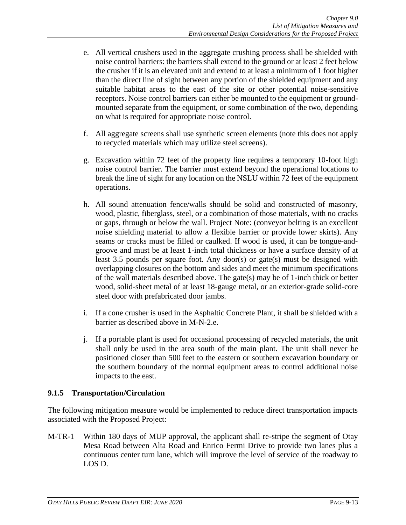- e. All vertical crushers used in the aggregate crushing process shall be shielded with noise control barriers: the barriers shall extend to the ground or at least 2 feet below the crusher if it is an elevated unit and extend to at least a minimum of 1 foot higher than the direct line of sight between any portion of the shielded equipment and any suitable habitat areas to the east of the site or other potential noise-sensitive receptors. Noise control barriers can either be mounted to the equipment or groundmounted separate from the equipment, or some combination of the two, depending on what is required for appropriate noise control.
- f. All aggregate screens shall use synthetic screen elements (note this does not apply to recycled materials which may utilize steel screens).
- g. Excavation within 72 feet of the property line requires a temporary 10-foot high noise control barrier. The barrier must extend beyond the operational locations to break the line of sight for any location on the NSLU within 72 feet of the equipment operations.
- h. All sound attenuation fence/walls should be solid and constructed of masonry, wood, plastic, fiberglass, steel, or a combination of those materials, with no cracks or gaps, through or below the wall. Project Note: (conveyor belting is an excellent noise shielding material to allow a flexible barrier or provide lower skirts). Any seams or cracks must be filled or caulked. If wood is used, it can be tongue-andgroove and must be at least 1-inch total thickness or have a surface density of at least 3.5 pounds per square foot. Any door(s) or gate(s) must be designed with overlapping closures on the bottom and sides and meet the minimum specifications of the wall materials described above. The gate(s) may be of 1-inch thick or better wood, solid-sheet metal of at least 18-gauge metal, or an exterior-grade solid-core steel door with prefabricated door jambs.
- i. If a cone crusher is used in the Asphaltic Concrete Plant, it shall be shielded with a barrier as described above in M-N-2.e.
- j. If a portable plant is used for occasional processing of recycled materials, the unit shall only be used in the area south of the main plant. The unit shall never be positioned closer than 500 feet to the eastern or southern excavation boundary or the southern boundary of the normal equipment areas to control additional noise impacts to the east.

#### **9.1.5 Transportation/Circulation**

The following mitigation measure would be implemented to reduce direct transportation impacts associated with the Proposed Project:

M-TR-1 Within 180 days of MUP approval, the applicant shall re-stripe the segment of Otay Mesa Road between Alta Road and Enrico Fermi Drive to provide two lanes plus a continuous center turn lane, which will improve the level of service of the roadway to LOS D.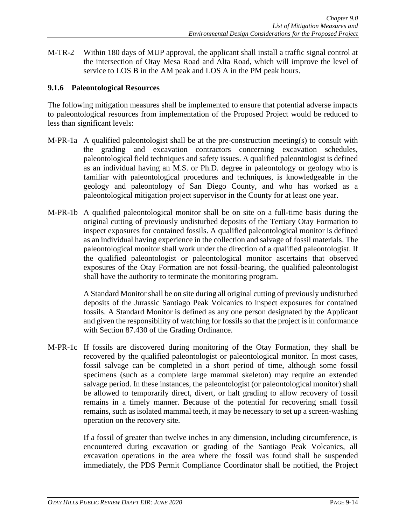M-TR-2 Within 180 days of MUP approval, the applicant shall install a traffic signal control at the intersection of Otay Mesa Road and Alta Road, which will improve the level of service to LOS B in the AM peak and LOS A in the PM peak hours.

#### **9.1.6 Paleontological Resources**

The following mitigation measures shall be implemented to ensure that potential adverse impacts to paleontological resources from implementation of the Proposed Project would be reduced to less than significant levels:

- M-PR-1a A qualified paleontologist shall be at the pre-construction meeting(s) to consult with the grading and excavation contractors concerning excavation schedules, paleontological field techniques and safety issues. A qualified paleontologist is defined as an individual having an M.S. or Ph.D. degree in paleontology or geology who is familiar with paleontological procedures and techniques, is knowledgeable in the geology and paleontology of San Diego County, and who has worked as a paleontological mitigation project supervisor in the County for at least one year.
- M-PR-1b A qualified paleontological monitor shall be on site on a full-time basis during the original cutting of previously undisturbed deposits of the Tertiary Otay Formation to inspect exposures for contained fossils. A qualified paleontological monitor is defined as an individual having experience in the collection and salvage of fossil materials. The paleontological monitor shall work under the direction of a qualified paleontologist. If the qualified paleontologist or paleontological monitor ascertains that observed exposures of the Otay Formation are not fossil-bearing, the qualified paleontologist shall have the authority to terminate the monitoring program.

A Standard Monitor shall be on site during all original cutting of previously undisturbed deposits of the Jurassic Santiago Peak Volcanics to inspect exposures for contained fossils. A Standard Monitor is defined as any one person designated by the Applicant and given the responsibility of watching for fossils so that the project is in conformance with Section 87.430 of the Grading Ordinance.

M-PR-1c If fossils are discovered during monitoring of the Otay Formation, they shall be recovered by the qualified paleontologist or paleontological monitor. In most cases, fossil salvage can be completed in a short period of time, although some fossil specimens (such as a complete large mammal skeleton) may require an extended salvage period. In these instances, the paleontologist (or paleontological monitor) shall be allowed to temporarily direct, divert, or halt grading to allow recovery of fossil remains in a timely manner. Because of the potential for recovering small fossil remains, such as isolated mammal teeth, it may be necessary to set up a screen-washing operation on the recovery site.

> If a fossil of greater than twelve inches in any dimension, including circumference, is encountered during excavation or grading of the Santiago Peak Volcanics, all excavation operations in the area where the fossil was found shall be suspended immediately, the PDS Permit Compliance Coordinator shall be notified, the Project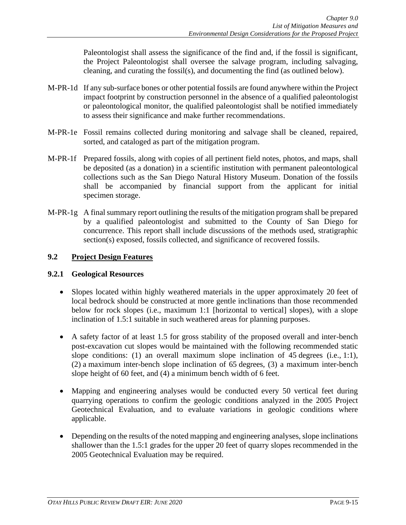Paleontologist shall assess the significance of the find and, if the fossil is significant, the Project Paleontologist shall oversee the salvage program, including salvaging, cleaning, and curating the fossil(s), and documenting the find (as outlined below).

- M-PR-1d If any sub-surface bones or other potential fossils are found anywhere within the Project impact footprint by construction personnel in the absence of a qualified paleontologist or paleontological monitor, the qualified paleontologist shall be notified immediately to assess their significance and make further recommendations.
- M-PR-1e Fossil remains collected during monitoring and salvage shall be cleaned, repaired, sorted, and cataloged as part of the mitigation program.
- M-PR-1f Prepared fossils, along with copies of all pertinent field notes, photos, and maps, shall be deposited (as a donation) in a scientific institution with permanent paleontological collections such as the San Diego Natural History Museum. Donation of the fossils shall be accompanied by financial support from the applicant for initial specimen storage.
- M-PR-1g A final summary report outlining the results of the mitigation program shall be prepared by a qualified paleontologist and submitted to the County of San Diego for concurrence. This report shall include discussions of the methods used, stratigraphic section(s) exposed, fossils collected, and significance of recovered fossils.

## **9.2 Project Design Features**

#### **9.2.1 Geological Resources**

- Slopes located within highly weathered materials in the upper approximately 20 feet of local bedrock should be constructed at more gentle inclinations than those recommended below for rock slopes (i.e., maximum 1:1 [horizontal to vertical] slopes), with a slope inclination of 1.5:1 suitable in such weathered areas for planning purposes.
- A safety factor of at least 1.5 for gross stability of the proposed overall and inter-bench post-excavation cut slopes would be maintained with the following recommended static slope conditions: (1) an overall maximum slope inclination of 45 degrees (i.e., 1:1), (2) a maximum inter-bench slope inclination of 65 degrees, (3) a maximum inter-bench slope height of 60 feet, and (4) a minimum bench width of 6 feet.
- Mapping and engineering analyses would be conducted every 50 vertical feet during quarrying operations to confirm the geologic conditions analyzed in the 2005 Project Geotechnical Evaluation, and to evaluate variations in geologic conditions where applicable.
- Depending on the results of the noted mapping and engineering analyses, slope inclinations shallower than the 1.5:1 grades for the upper 20 feet of quarry slopes recommended in the 2005 Geotechnical Evaluation may be required.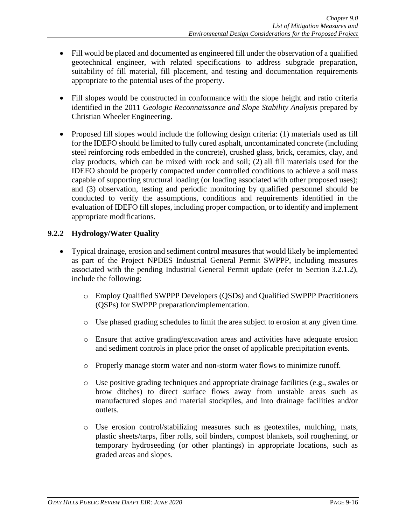- Fill would be placed and documented as engineered fill under the observation of a qualified geotechnical engineer, with related specifications to address subgrade preparation, suitability of fill material, fill placement, and testing and documentation requirements appropriate to the potential uses of the property.
- Fill slopes would be constructed in conformance with the slope height and ratio criteria identified in the 2011 *Geologic Reconnaissance and Slope Stability Analysis* prepared by Christian Wheeler Engineering.
- Proposed fill slopes would include the following design criteria: (1) materials used as fill for the IDEFO should be limited to fully cured asphalt, uncontaminated concrete (including steel reinforcing rods embedded in the concrete), crushed glass, brick, ceramics, clay, and clay products, which can be mixed with rock and soil; (2) all fill materials used for the IDEFO should be properly compacted under controlled conditions to achieve a soil mass capable of supporting structural loading (or loading associated with other proposed uses); and (3) observation, testing and periodic monitoring by qualified personnel should be conducted to verify the assumptions, conditions and requirements identified in the evaluation of IDEFO fill slopes, including proper compaction, or to identify and implement appropriate modifications.

## **9.2.2 Hydrology/Water Quality**

- Typical drainage, erosion and sediment control measures that would likely be implemented as part of the Project NPDES Industrial General Permit SWPPP, including measures associated with the pending Industrial General Permit update (refer to Section 3.2.1.2), include the following:
	- o Employ Qualified SWPPP Developers (QSDs) and Qualified SWPPP Practitioners (QSPs) for SWPPP preparation/implementation.
	- o Use phased grading schedules to limit the area subject to erosion at any given time.
	- o Ensure that active grading/excavation areas and activities have adequate erosion and sediment controls in place prior the onset of applicable precipitation events.
	- o Properly manage storm water and non-storm water flows to minimize runoff.
	- o Use positive grading techniques and appropriate drainage facilities (e.g., swales or brow ditches) to direct surface flows away from unstable areas such as manufactured slopes and material stockpiles, and into drainage facilities and/or outlets.
	- o Use erosion control/stabilizing measures such as geotextiles, mulching, mats, plastic sheets/tarps, fiber rolls, soil binders, compost blankets, soil roughening, or temporary hydroseeding (or other plantings) in appropriate locations, such as graded areas and slopes.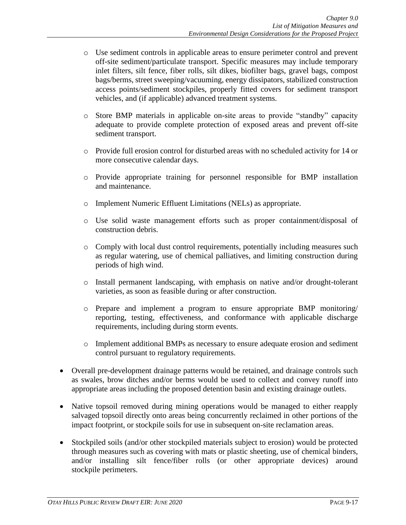- o Use sediment controls in applicable areas to ensure perimeter control and prevent off-site sediment/particulate transport. Specific measures may include temporary inlet filters, silt fence, fiber rolls, silt dikes, biofilter bags, gravel bags, compost bags/berms, street sweeping/vacuuming, energy dissipators, stabilized construction access points/sediment stockpiles, properly fitted covers for sediment transport vehicles, and (if applicable) advanced treatment systems.
- o Store BMP materials in applicable on-site areas to provide "standby" capacity adequate to provide complete protection of exposed areas and prevent off-site sediment transport.
- o Provide full erosion control for disturbed areas with no scheduled activity for 14 or more consecutive calendar days.
- o Provide appropriate training for personnel responsible for BMP installation and maintenance.
- o Implement Numeric Effluent Limitations (NELs) as appropriate.
- o Use solid waste management efforts such as proper containment/disposal of construction debris.
- o Comply with local dust control requirements, potentially including measures such as regular watering, use of chemical palliatives, and limiting construction during periods of high wind.
- o Install permanent landscaping, with emphasis on native and/or drought-tolerant varieties, as soon as feasible during or after construction.
- o Prepare and implement a program to ensure appropriate BMP monitoring/ reporting, testing, effectiveness, and conformance with applicable discharge requirements, including during storm events.
- o Implement additional BMPs as necessary to ensure adequate erosion and sediment control pursuant to regulatory requirements.
- Overall pre-development drainage patterns would be retained, and drainage controls such as swales, brow ditches and/or berms would be used to collect and convey runoff into appropriate areas including the proposed detention basin and existing drainage outlets.
- Native topsoil removed during mining operations would be managed to either reapply salvaged topsoil directly onto areas being concurrently reclaimed in other portions of the impact footprint, or stockpile soils for use in subsequent on-site reclamation areas.
- Stockpiled soils (and/or other stockpiled materials subject to erosion) would be protected through measures such as covering with mats or plastic sheeting, use of chemical binders, and/or installing silt fence/fiber rolls (or other appropriate devices) around stockpile perimeters.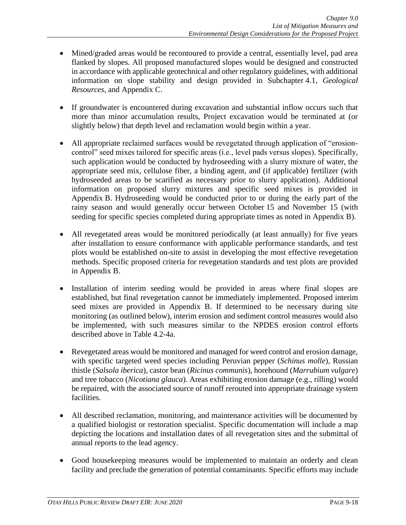- Mined/graded areas would be recontoured to provide a central, essentially level, pad area flanked by slopes. All proposed manufactured slopes would be designed and constructed in accordance with applicable geotechnical and other regulatory guidelines, with additional information on slope stability and design provided in Subchapter 4.1, *Geological Resources*, and Appendix C.
- If groundwater is encountered during excavation and substantial inflow occurs such that more than minor accumulation results, Project excavation would be terminated at (or slightly below) that depth level and reclamation would begin within a year.
- All appropriate reclaimed surfaces would be revegetated through application of "erosioncontrol" seed mixes tailored for specific areas (i.e., level pads versus slopes). Specifically, such application would be conducted by hydroseeding with a slurry mixture of water, the appropriate seed mix, cellulose fiber, a binding agent, and (if applicable) fertilizer (with hydroseeded areas to be scarified as necessary prior to slurry application). Additional information on proposed slurry mixtures and specific seed mixes is provided in Appendix B. Hydroseeding would be conducted prior to or during the early part of the rainy season and would generally occur between October 15 and November 15 (with seeding for specific species completed during appropriate times as noted in Appendix B).
- All revegetated areas would be monitored periodically (at least annually) for five years after installation to ensure conformance with applicable performance standards, and test plots would be established on-site to assist in developing the most effective revegetation methods. Specific proposed criteria for revegetation standards and test plots are provided in Appendix B.
- Installation of interim seeding would be provided in areas where final slopes are established, but final revegetation cannot be immediately implemented. Proposed interim seed mixes are provided in Appendix B. If determined to be necessary during site monitoring (as outlined below), interim erosion and sediment control measures would also be implemented, with such measures similar to the NPDES erosion control efforts described above in Table 4.2-4a.
- Revegetated areas would be monitored and managed for weed control and erosion damage, with specific targeted weed species including Peruvian pepper (*Schinus molle*), Russian thistle (*Salsola iberica*), castor bean (*Ricinus communis*), horehound (*Marrubium vulgare*) and tree tobacco (*Nicotiana glauca*). Areas exhibiting erosion damage (e.g., rilling) would be repaired, with the associated source of runoff rerouted into appropriate drainage system facilities.
- All described reclamation, monitoring, and maintenance activities will be documented by a qualified biologist or restoration specialist. Specific documentation will include a map depicting the locations and installation dates of all revegetation sites and the submittal of annual reports to the lead agency.
- Good housekeeping measures would be implemented to maintain an orderly and clean facility and preclude the generation of potential contaminants. Specific efforts may include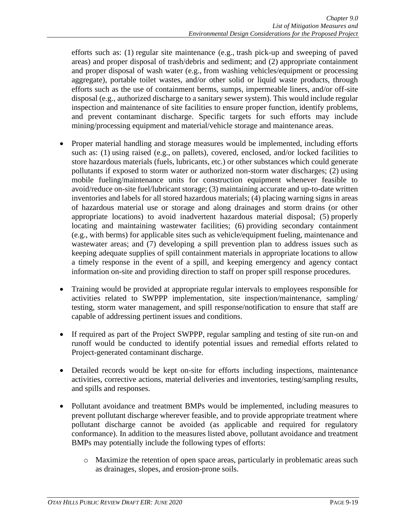efforts such as: (1) regular site maintenance (e.g., trash pick-up and sweeping of paved areas) and proper disposal of trash/debris and sediment; and (2) appropriate containment and proper disposal of wash water (e.g., from washing vehicles/equipment or processing aggregate), portable toilet wastes, and/or other solid or liquid waste products, through efforts such as the use of containment berms, sumps, impermeable liners, and/or off-site disposal (e.g., authorized discharge to a sanitary sewer system). This would include regular inspection and maintenance of site facilities to ensure proper function, identify problems, and prevent contaminant discharge. Specific targets for such efforts may include mining/processing equipment and material/vehicle storage and maintenance areas.

- Proper material handling and storage measures would be implemented, including efforts such as: (1) using raised (e.g., on pallets), covered, enclosed, and/or locked facilities to store hazardous materials (fuels, lubricants, etc.) or other substances which could generate pollutants if exposed to storm water or authorized non-storm water discharges; (2) using mobile fueling/maintenance units for construction equipment whenever feasible to avoid/reduce on-site fuel/lubricant storage; (3) maintaining accurate and up-to-date written inventories and labels for all stored hazardous materials; (4) placing warning signs in areas of hazardous material use or storage and along drainages and storm drains (or other appropriate locations) to avoid inadvertent hazardous material disposal; (5) properly locating and maintaining wastewater facilities; (6) providing secondary containment (e.g., with berms) for applicable sites such as vehicle/equipment fueling, maintenance and wastewater areas; and (7) developing a spill prevention plan to address issues such as keeping adequate supplies of spill containment materials in appropriate locations to allow a timely response in the event of a spill, and keeping emergency and agency contact information on-site and providing direction to staff on proper spill response procedures.
- Training would be provided at appropriate regular intervals to employees responsible for activities related to SWPPP implementation, site inspection/maintenance, sampling/ testing, storm water management, and spill response/notification to ensure that staff are capable of addressing pertinent issues and conditions.
- If required as part of the Project SWPPP, regular sampling and testing of site run-on and runoff would be conducted to identify potential issues and remedial efforts related to Project-generated contaminant discharge.
- Detailed records would be kept on-site for efforts including inspections, maintenance activities, corrective actions, material deliveries and inventories, testing/sampling results, and spills and responses.
- Pollutant avoidance and treatment BMPs would be implemented, including measures to prevent pollutant discharge wherever feasible, and to provide appropriate treatment where pollutant discharge cannot be avoided (as applicable and required for regulatory conformance). In addition to the measures listed above, pollutant avoidance and treatment BMPs may potentially include the following types of efforts:
	- o Maximize the retention of open space areas, particularly in problematic areas such as drainages, slopes, and erosion-prone soils.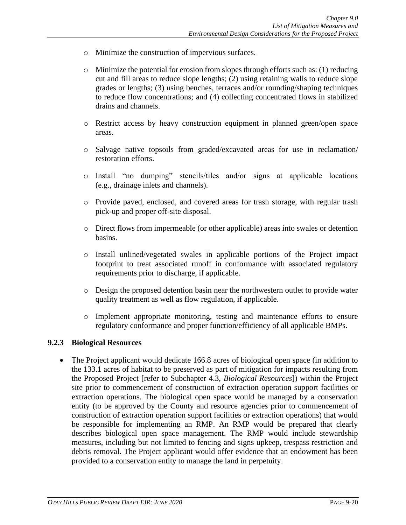- o Minimize the construction of impervious surfaces.
- $\circ$  Minimize the potential for erosion from slopes through efforts such as: (1) reducing cut and fill areas to reduce slope lengths; (2) using retaining walls to reduce slope grades or lengths; (3) using benches, terraces and/or rounding/shaping techniques to reduce flow concentrations; and (4) collecting concentrated flows in stabilized drains and channels.
- o Restrict access by heavy construction equipment in planned green/open space areas.
- o Salvage native topsoils from graded/excavated areas for use in reclamation/ restoration efforts.
- o Install "no dumping" stencils/tiles and/or signs at applicable locations (e.g., drainage inlets and channels).
- o Provide paved, enclosed, and covered areas for trash storage, with regular trash pick-up and proper off-site disposal.
- o Direct flows from impermeable (or other applicable) areas into swales or detention basins.
- o Install unlined/vegetated swales in applicable portions of the Project impact footprint to treat associated runoff in conformance with associated regulatory requirements prior to discharge, if applicable.
- o Design the proposed detention basin near the northwestern outlet to provide water quality treatment as well as flow regulation, if applicable.
- o Implement appropriate monitoring, testing and maintenance efforts to ensure regulatory conformance and proper function/efficiency of all applicable BMPs.

#### **9.2.3 Biological Resources**

• The Project applicant would dedicate 166.8 acres of biological open space (in addition to the 133.1 acres of habitat to be preserved as part of mitigation for impacts resulting from the Proposed Project [refer to Subchapter 4.3, *Biological Resources*]) within the Project site prior to commencement of construction of extraction operation support facilities or extraction operations. The biological open space would be managed by a conservation entity (to be approved by the County and resource agencies prior to commencement of construction of extraction operation support facilities or extraction operations) that would be responsible for implementing an RMP. An RMP would be prepared that clearly describes biological open space management. The RMP would include stewardship measures, including but not limited to fencing and signs upkeep, trespass restriction and debris removal. The Project applicant would offer evidence that an endowment has been provided to a conservation entity to manage the land in perpetuity.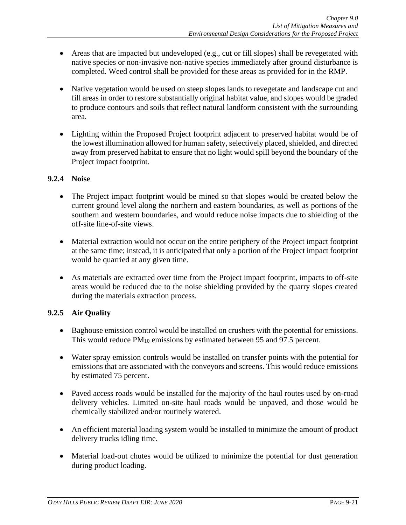- Areas that are impacted but undeveloped (e.g., cut or fill slopes) shall be revegetated with native species or non-invasive non-native species immediately after ground disturbance is completed. Weed control shall be provided for these areas as provided for in the RMP.
- Native vegetation would be used on steep slopes lands to revegetate and landscape cut and fill areas in order to restore substantially original habitat value, and slopes would be graded to produce contours and soils that reflect natural landform consistent with the surrounding area.
- Lighting within the Proposed Project footprint adjacent to preserved habitat would be of the lowest illumination allowed for human safety, selectively placed, shielded, and directed away from preserved habitat to ensure that no light would spill beyond the boundary of the Project impact footprint.

#### **9.2.4 Noise**

- The Project impact footprint would be mined so that slopes would be created below the current ground level along the northern and eastern boundaries, as well as portions of the southern and western boundaries, and would reduce noise impacts due to shielding of the off-site line-of-site views.
- Material extraction would not occur on the entire periphery of the Project impact footprint at the same time; instead, it is anticipated that only a portion of the Project impact footprint would be quarried at any given time.
- As materials are extracted over time from the Project impact footprint, impacts to off-site areas would be reduced due to the noise shielding provided by the quarry slopes created during the materials extraction process.

#### **9.2.5 Air Quality**

- Baghouse emission control would be installed on crushers with the potential for emissions. This would reduce  $PM_{10}$  emissions by estimated between 95 and 97.5 percent.
- Water spray emission controls would be installed on transfer points with the potential for emissions that are associated with the conveyors and screens. This would reduce emissions by estimated 75 percent.
- Paved access roads would be installed for the majority of the haul routes used by on-road delivery vehicles. Limited on-site haul roads would be unpaved, and those would be chemically stabilized and/or routinely watered.
- An efficient material loading system would be installed to minimize the amount of product delivery trucks idling time.
- Material load-out chutes would be utilized to minimize the potential for dust generation during product loading.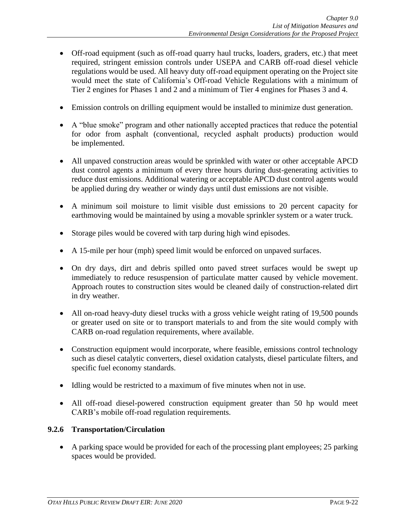- Off-road equipment (such as off-road quarry haul trucks, loaders, graders, etc.) that meet required, stringent emission controls under USEPA and CARB off-road diesel vehicle regulations would be used. All heavy duty off-road equipment operating on the Project site would meet the state of California's Off-road Vehicle Regulations with a minimum of Tier 2 engines for Phases 1 and 2 and a minimum of Tier 4 engines for Phases 3 and 4.
- Emission controls on drilling equipment would be installed to minimize dust generation.
- A "blue smoke" program and other nationally accepted practices that reduce the potential for odor from asphalt (conventional, recycled asphalt products) production would be implemented.
- All unpaved construction areas would be sprinkled with water or other acceptable APCD dust control agents a minimum of every three hours during dust-generating activities to reduce dust emissions. Additional watering or acceptable APCD dust control agents would be applied during dry weather or windy days until dust emissions are not visible.
- A minimum soil moisture to limit visible dust emissions to 20 percent capacity for earthmoving would be maintained by using a movable sprinkler system or a water truck.
- Storage piles would be covered with tarp during high wind episodes.
- A 15-mile per hour (mph) speed limit would be enforced on unpaved surfaces.
- On dry days, dirt and debris spilled onto paved street surfaces would be swept up immediately to reduce resuspension of particulate matter caused by vehicle movement. Approach routes to construction sites would be cleaned daily of construction-related dirt in dry weather.
- All on-road heavy-duty diesel trucks with a gross vehicle weight rating of 19,500 pounds or greater used on site or to transport materials to and from the site would comply with CARB on-road regulation requirements, where available.
- Construction equipment would incorporate, where feasible, emissions control technology such as diesel catalytic converters, diesel oxidation catalysts, diesel particulate filters, and specific fuel economy standards.
- Idling would be restricted to a maximum of five minutes when not in use.
- All off-road diesel-powered construction equipment greater than 50 hp would meet CARB's mobile off-road regulation requirements.

#### **9.2.6 Transportation/Circulation**

• A parking space would be provided for each of the processing plant employees; 25 parking spaces would be provided.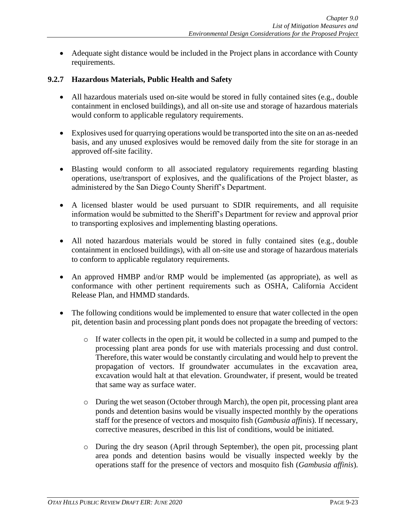• Adequate sight distance would be included in the Project plans in accordance with County requirements.

#### **9.2.7 Hazardous Materials, Public Health and Safety**

- All hazardous materials used on-site would be stored in fully contained sites (e.g., double containment in enclosed buildings), and all on-site use and storage of hazardous materials would conform to applicable regulatory requirements.
- Explosives used for quarrying operations would be transported into the site on an as-needed basis, and any unused explosives would be removed daily from the site for storage in an approved off-site facility.
- Blasting would conform to all associated regulatory requirements regarding blasting operations, use/transport of explosives, and the qualifications of the Project blaster, as administered by the San Diego County Sheriff's Department.
- A licensed blaster would be used pursuant to SDIR requirements, and all requisite information would be submitted to the Sheriff's Department for review and approval prior to transporting explosives and implementing blasting operations.
- All noted hazardous materials would be stored in fully contained sites (e.g., double containment in enclosed buildings), with all on-site use and storage of hazardous materials to conform to applicable regulatory requirements.
- An approved HMBP and/or RMP would be implemented (as appropriate), as well as conformance with other pertinent requirements such as OSHA, California Accident Release Plan, and HMMD standards.
- The following conditions would be implemented to ensure that water collected in the open pit, detention basin and processing plant ponds does not propagate the breeding of vectors:
	- o If water collects in the open pit, it would be collected in a sump and pumped to the processing plant area ponds for use with materials processing and dust control. Therefore, this water would be constantly circulating and would help to prevent the propagation of vectors. If groundwater accumulates in the excavation area, excavation would halt at that elevation. Groundwater, if present, would be treated that same way as surface water.
	- o During the wet season (October through March), the open pit, processing plant area ponds and detention basins would be visually inspected monthly by the operations staff for the presence of vectors and mosquito fish (*Gambusia affinis*). If necessary, corrective measures, described in this list of conditions, would be initiated.
	- o During the dry season (April through September), the open pit, processing plant area ponds and detention basins would be visually inspected weekly by the operations staff for the presence of vectors and mosquito fish (*Gambusia affinis*).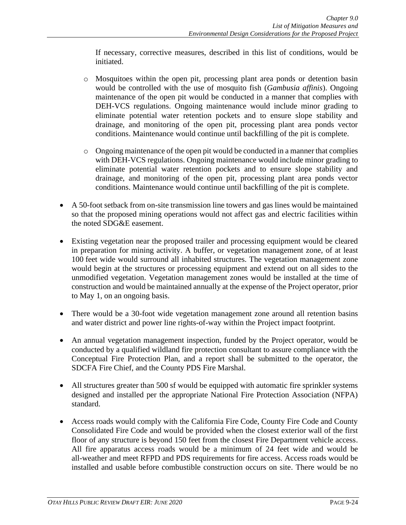If necessary, corrective measures, described in this list of conditions, would be initiated.

- o Mosquitoes within the open pit, processing plant area ponds or detention basin would be controlled with the use of mosquito fish (*Gambusia affinis*). Ongoing maintenance of the open pit would be conducted in a manner that complies with DEH-VCS regulations. Ongoing maintenance would include minor grading to eliminate potential water retention pockets and to ensure slope stability and drainage, and monitoring of the open pit, processing plant area ponds vector conditions. Maintenance would continue until backfilling of the pit is complete.
- $\circ$  Ongoing maintenance of the open pit would be conducted in a manner that complies with DEH-VCS regulations. Ongoing maintenance would include minor grading to eliminate potential water retention pockets and to ensure slope stability and drainage, and monitoring of the open pit, processing plant area ponds vector conditions. Maintenance would continue until backfilling of the pit is complete.
- A 50-foot setback from on-site transmission line towers and gas lines would be maintained so that the proposed mining operations would not affect gas and electric facilities within the noted SDG&E easement.
- Existing vegetation near the proposed trailer and processing equipment would be cleared in preparation for mining activity. A buffer, or vegetation management zone, of at least 100 feet wide would surround all inhabited structures. The vegetation management zone would begin at the structures or processing equipment and extend out on all sides to the unmodified vegetation. Vegetation management zones would be installed at the time of construction and would be maintained annually at the expense of the Project operator, prior to May 1, on an ongoing basis.
- There would be a 30-foot wide vegetation management zone around all retention basins and water district and power line rights-of-way within the Project impact footprint.
- An annual vegetation management inspection, funded by the Project operator, would be conducted by a qualified wildland fire protection consultant to assure compliance with the Conceptual Fire Protection Plan, and a report shall be submitted to the operator, the SDCFA Fire Chief, and the County PDS Fire Marshal.
- All structures greater than 500 sf would be equipped with automatic fire sprinkler systems designed and installed per the appropriate National Fire Protection Association (NFPA) standard.
- Access roads would comply with the California Fire Code, County Fire Code and County Consolidated Fire Code and would be provided when the closest exterior wall of the first floor of any structure is beyond 150 feet from the closest Fire Department vehicle access. All fire apparatus access roads would be a minimum of 24 feet wide and would be all-weather and meet RFPD and PDS requirements for fire access. Access roads would be installed and usable before combustible construction occurs on site. There would be no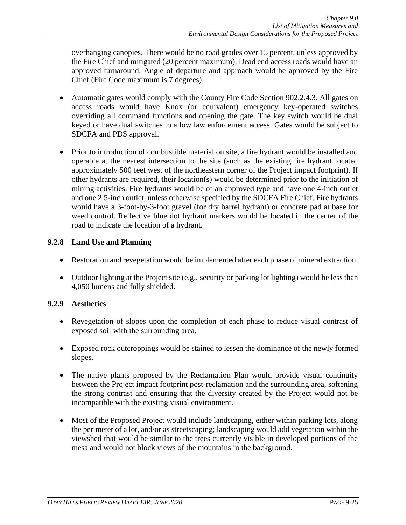overhanging canopies. There would be no road grades over 15 percent, unless approved by the Fire Chief and mitigated (20 percent maximum). Dead end access roads would have an approved turnaround. Angle of departure and approach would be approved by the Fire Chief (Fire Code maximum is 7 degrees).

- Automatic gates would comply with the County Fire Code Section 902.2.4.3. All gates on access roads would have Knox (or equivalent) emergency key-operated switches overriding all command functions and opening the gate. The key switch would be dual keyed or have dual switches to allow law enforcement access. Gates would be subject to SDCFA and PDS approval.
- Prior to introduction of combustible material on site, a fire hydrant would be installed and operable at the nearest intersection to the site (such as the existing fire hydrant located approximately 500 feet west of the northeastern corner of the Project impact footprint). If other hydrants are required, their location(s) would be determined prior to the initiation of mining activities. Fire hydrants would be of an approved type and have one 4-inch outlet and one 2.5-inch outlet, unless otherwise specified by the SDCFA Fire Chief. Fire hydrants would have a 3-foot-by-3-foot gravel (for dry barrel hydrant) or concrete pad at base for weed control. Reflective blue dot hydrant markers would be located in the center of the road to indicate the location of a hydrant.

## **9.2.8 Land Use and Planning**

- Restoration and revegetation would be implemented after each phase of mineral extraction.
- Outdoor lighting at the Project site (e.g., security or parking lot lighting) would be less than 4,050 lumens and fully shielded.

## **9.2.9 Aesthetics**

- Revegetation of slopes upon the completion of each phase to reduce visual contrast of exposed soil with the surrounding area.
- Exposed rock outcroppings would be stained to lessen the dominance of the newly formed slopes.
- The native plants proposed by the Reclamation Plan would provide visual continuity between the Project impact footprint post-reclamation and the surrounding area, softening the strong contrast and ensuring that the diversity created by the Project would not be incompatible with the existing visual environment.
- Most of the Proposed Project would include landscaping, either within parking lots, along the perimeter of a lot, and/or as streetscaping; landscaping would add vegetation within the viewshed that would be similar to the trees currently visible in developed portions of the mesa and would not block views of the mountains in the background.